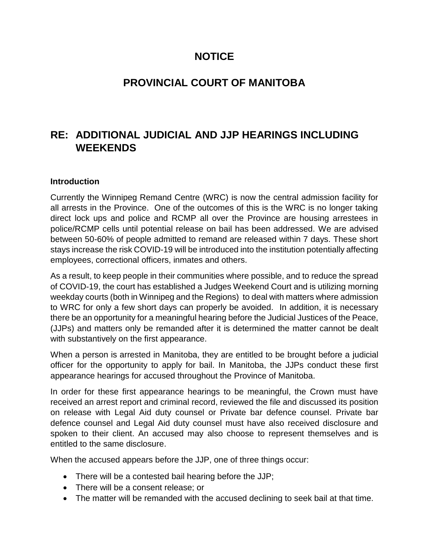### **NOTICE**

# **PROVINCIAL COURT OF MANITOBA**

# **RE: ADDITIONAL JUDICIAL AND JJP HEARINGS INCLUDING WEEKENDS**

#### **Introduction**

Currently the Winnipeg Remand Centre (WRC) is now the central admission facility for all arrests in the Province. One of the outcomes of this is the WRC is no longer taking direct lock ups and police and RCMP all over the Province are housing arrestees in police/RCMP cells until potential release on bail has been addressed. We are advised between 50-60% of people admitted to remand are released within 7 days. These short stays increase the risk COVID-19 will be introduced into the institution potentially affecting employees, correctional officers, inmates and others.

As a result, to keep people in their communities where possible, and to reduce the spread of COVID-19, the court has established a Judges Weekend Court and is utilizing morning weekday courts (both in Winnipeg and the Regions) to deal with matters where admission to WRC for only a few short days can properly be avoided. In addition, it is necessary there be an opportunity for a meaningful hearing before the Judicial Justices of the Peace, (JJPs) and matters only be remanded after it is determined the matter cannot be dealt with substantively on the first appearance.

When a person is arrested in Manitoba, they are entitled to be brought before a judicial officer for the opportunity to apply for bail. In Manitoba, the JJPs conduct these first appearance hearings for accused throughout the Province of Manitoba.

In order for these first appearance hearings to be meaningful, the Crown must have received an arrest report and criminal record, reviewed the file and discussed its position on release with Legal Aid duty counsel or Private bar defence counsel. Private bar defence counsel and Legal Aid duty counsel must have also received disclosure and spoken to their client. An accused may also choose to represent themselves and is entitled to the same disclosure.

When the accused appears before the JJP, one of three things occur:

- There will be a contested bail hearing before the JJP;
- There will be a consent release; or
- The matter will be remanded with the accused declining to seek bail at that time.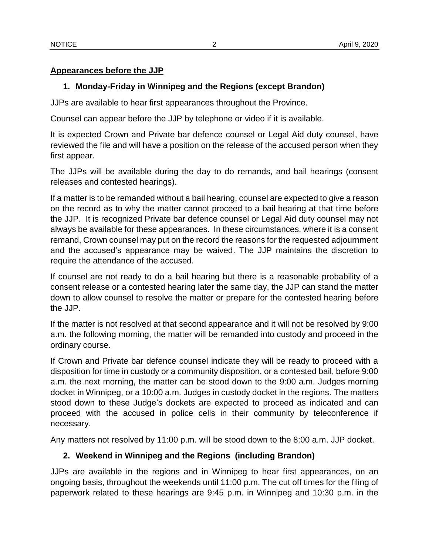#### **Appearances before the JJP**

#### **1. Monday-Friday in Winnipeg and the Regions (except Brandon)**

JJPs are available to hear first appearances throughout the Province.

Counsel can appear before the JJP by telephone or video if it is available.

It is expected Crown and Private bar defence counsel or Legal Aid duty counsel, have reviewed the file and will have a position on the release of the accused person when they first appear.

The JJPs will be available during the day to do remands, and bail hearings (consent releases and contested hearings).

If a matter is to be remanded without a bail hearing, counsel are expected to give a reason on the record as to why the matter cannot proceed to a bail hearing at that time before the JJP. It is recognized Private bar defence counsel or Legal Aid duty counsel may not always be available for these appearances. In these circumstances, where it is a consent remand, Crown counsel may put on the record the reasons for the requested adjournment and the accused's appearance may be waived. The JJP maintains the discretion to require the attendance of the accused.

If counsel are not ready to do a bail hearing but there is a reasonable probability of a consent release or a contested hearing later the same day, the JJP can stand the matter down to allow counsel to resolve the matter or prepare for the contested hearing before the JJP.

If the matter is not resolved at that second appearance and it will not be resolved by 9:00 a.m. the following morning, the matter will be remanded into custody and proceed in the ordinary course.

If Crown and Private bar defence counsel indicate they will be ready to proceed with a disposition for time in custody or a community disposition, or a contested bail, before 9:00 a.m. the next morning, the matter can be stood down to the 9:00 a.m. Judges morning docket in Winnipeg, or a 10:00 a.m. Judges in custody docket in the regions. The matters stood down to these Judge's dockets are expected to proceed as indicated and can proceed with the accused in police cells in their community by teleconference if necessary.

Any matters not resolved by 11:00 p.m. will be stood down to the 8:00 a.m. JJP docket.

#### **2. Weekend in Winnipeg and the Regions (including Brandon)**

JJPs are available in the regions and in Winnipeg to hear first appearances, on an ongoing basis, throughout the weekends until 11:00 p.m. The cut off times for the filing of paperwork related to these hearings are 9:45 p.m. in Winnipeg and 10:30 p.m. in the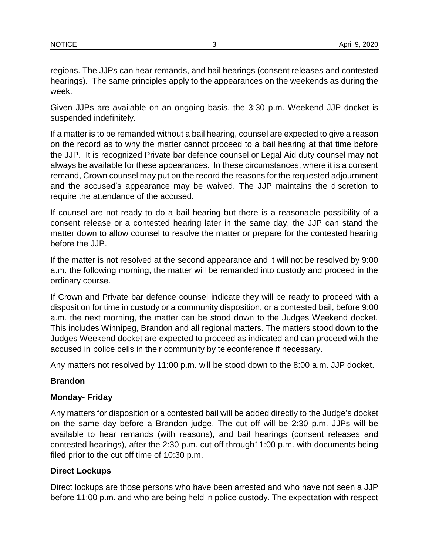regions. The JJPs can hear remands, and bail hearings (consent releases and contested hearings). The same principles apply to the appearances on the weekends as during the week.

Given JJPs are available on an ongoing basis, the 3:30 p.m. Weekend JJP docket is suspended indefinitely.

If a matter is to be remanded without a bail hearing, counsel are expected to give a reason on the record as to why the matter cannot proceed to a bail hearing at that time before the JJP. It is recognized Private bar defence counsel or Legal Aid duty counsel may not always be available for these appearances. In these circumstances, where it is a consent remand, Crown counsel may put on the record the reasons for the requested adjournment and the accused's appearance may be waived. The JJP maintains the discretion to require the attendance of the accused.

If counsel are not ready to do a bail hearing but there is a reasonable possibility of a consent release or a contested hearing later in the same day, the JJP can stand the matter down to allow counsel to resolve the matter or prepare for the contested hearing before the JJP.

If the matter is not resolved at the second appearance and it will not be resolved by 9:00 a.m. the following morning, the matter will be remanded into custody and proceed in the ordinary course.

If Crown and Private bar defence counsel indicate they will be ready to proceed with a disposition for time in custody or a community disposition, or a contested bail, before 9:00 a.m. the next morning, the matter can be stood down to the Judges Weekend docket. This includes Winnipeg, Brandon and all regional matters. The matters stood down to the Judges Weekend docket are expected to proceed as indicated and can proceed with the accused in police cells in their community by teleconference if necessary.

Any matters not resolved by 11:00 p.m. will be stood down to the 8:00 a.m. JJP docket.

### **Brandon**

#### **Monday- Friday**

Any matters for disposition or a contested bail will be added directly to the Judge's docket on the same day before a Brandon judge. The cut off will be 2:30 p.m. JJPs will be available to hear remands (with reasons), and bail hearings (consent releases and contested hearings), after the 2:30 p.m. cut-off through11:00 p.m. with documents being filed prior to the cut off time of 10:30 p.m.

#### **Direct Lockups**

Direct lockups are those persons who have been arrested and who have not seen a JJP before 11:00 p.m. and who are being held in police custody. The expectation with respect